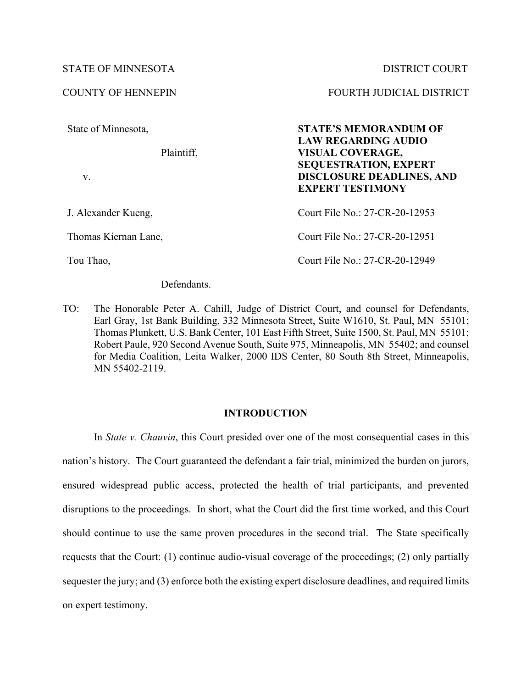## STATE OF MINNESOTA DISTRICT COURT

State of Minnesota,

Plaintiff,

v.

J. Alexander Kueng,

Thomas Kiernan Lane,

Tou Thao,

Defendants.

COUNTY OF HENNEPIN FOURTH JUDICIAL DISTRICT

**STATE'S MEMORANDUM OF LAW REGARDING AUDIO VISUAL COVERAGE, SEQUESTRATION, EXPERT DISCLOSURE DEADLINES, AND EXPERT TESTIMONY**

Court File No.: 27-CR-20-12953 Court File No.: 27-CR-20-12951

Court File No.: 27-CR-20-12949

TO: The Honorable Peter A. Cahill, Judge of District Court, and counsel for Defendants, Earl Gray, 1st Bank Building, 332 Minnesota Street, Suite W1610, St. Paul, MN 55101; Thomas Plunkett, U.S. Bank Center, 101 East Fifth Street, Suite 1500, St. Paul, MN 55101; Robert Paule, 920 Second Avenue South, Suite 975, Minneapolis, MN 55402; and counsel for Media Coalition, Leita Walker, 2000 IDS Center, 80 South 8th Street, Minneapolis, MN 55402-2119.

### **INTRODUCTION**

In *State v. Chauvin*, this Court presided over one of the most consequential cases in this nation's history. The Court guaranteed the defendant a fair trial, minimized the burden on jurors, ensured widespread public access, protected the health of trial participants, and prevented disruptions to the proceedings. In short, what the Court did the first time worked, and this Court should continue to use the same proven procedures in the second trial. The State specifically requests that the Court: (1) continue audio-visual coverage of the proceedings; (2) only partially sequester the jury; and (3) enforce both the existing expert disclosure deadlines, and required limits on expert testimony.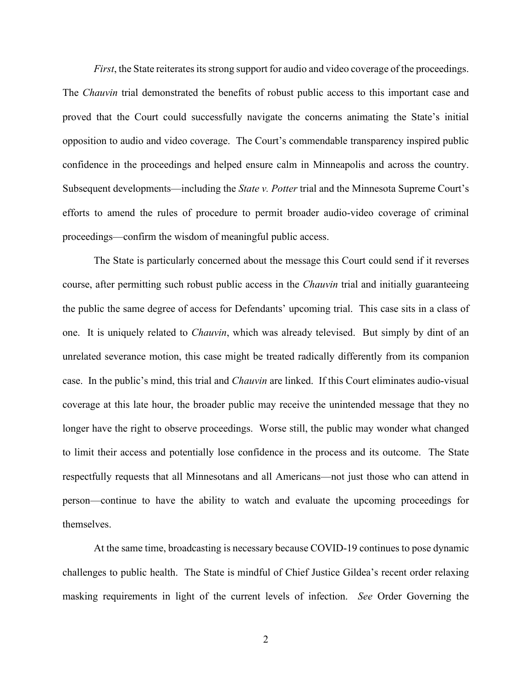*First*, the State reiterates its strong support for audio and video coverage of the proceedings. The *Chauvin* trial demonstrated the benefits of robust public access to this important case and proved that the Court could successfully navigate the concerns animating the State's initial opposition to audio and video coverage. The Court's commendable transparency inspired public confidence in the proceedings and helped ensure calm in Minneapolis and across the country. Subsequent developments—including the *State v. Potter* trial and the Minnesota Supreme Court's efforts to amend the rules of procedure to permit broader audio-video coverage of criminal proceedings—confirm the wisdom of meaningful public access.

The State is particularly concerned about the message this Court could send if it reverses course, after permitting such robust public access in the *Chauvin* trial and initially guaranteeing the public the same degree of access for Defendants' upcoming trial. This case sits in a class of one. It is uniquely related to *Chauvin*, which was already televised. But simply by dint of an unrelated severance motion, this case might be treated radically differently from its companion case. In the public's mind, this trial and *Chauvin* are linked. If this Court eliminates audio-visual coverage at this late hour, the broader public may receive the unintended message that they no longer have the right to observe proceedings. Worse still, the public may wonder what changed to limit their access and potentially lose confidence in the process and its outcome. The State respectfully requests that all Minnesotans and all Americans—not just those who can attend in person—continue to have the ability to watch and evaluate the upcoming proceedings for themselves.

At the same time, broadcasting is necessary because COVID-19 continues to pose dynamic challenges to public health. The State is mindful of Chief Justice Gildea's recent order relaxing masking requirements in light of the current levels of infection. *See* Order Governing the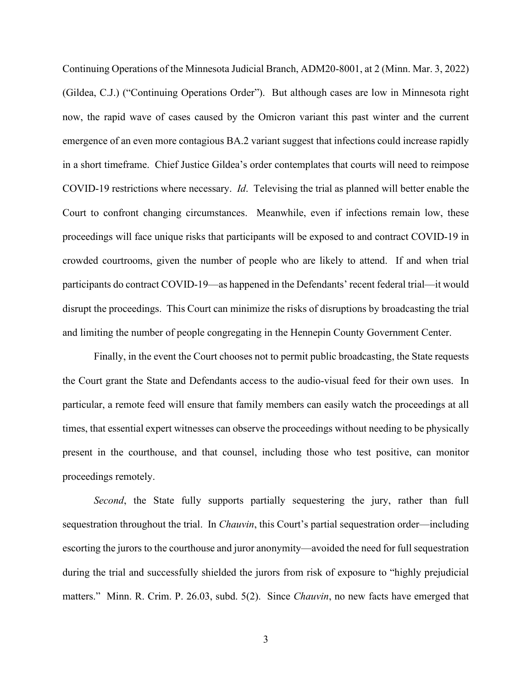Continuing Operations of the Minnesota Judicial Branch, ADM20-8001, at 2 (Minn. Mar. 3, 2022) (Gildea, C.J.) ("Continuing Operations Order"). But although cases are low in Minnesota right now, the rapid wave of cases caused by the Omicron variant this past winter and the current emergence of an even more contagious BA.2 variant suggest that infections could increase rapidly in a short timeframe. Chief Justice Gildea's order contemplates that courts will need to reimpose COVID-19 restrictions where necessary. *Id*. Televising the trial as planned will better enable the Court to confront changing circumstances. Meanwhile, even if infections remain low, these proceedings will face unique risks that participants will be exposed to and contract COVID-19 in crowded courtrooms, given the number of people who are likely to attend. If and when trial participants do contract COVID-19—as happened in the Defendants' recent federal trial—it would disrupt the proceedings. This Court can minimize the risks of disruptions by broadcasting the trial and limiting the number of people congregating in the Hennepin County Government Center.

Finally, in the event the Court chooses not to permit public broadcasting, the State requests the Court grant the State and Defendants access to the audio-visual feed for their own uses. In particular, a remote feed will ensure that family members can easily watch the proceedings at all times, that essential expert witnesses can observe the proceedings without needing to be physically present in the courthouse, and that counsel, including those who test positive, can monitor proceedings remotely.

*Second*, the State fully supports partially sequestering the jury, rather than full sequestration throughout the trial. In *Chauvin*, this Court's partial sequestration order—including escorting the jurors to the courthouse and juror anonymity—avoided the need for full sequestration during the trial and successfully shielded the jurors from risk of exposure to "highly prejudicial matters." Minn. R. Crim. P. 26.03, subd. 5(2). Since *Chauvin*, no new facts have emerged that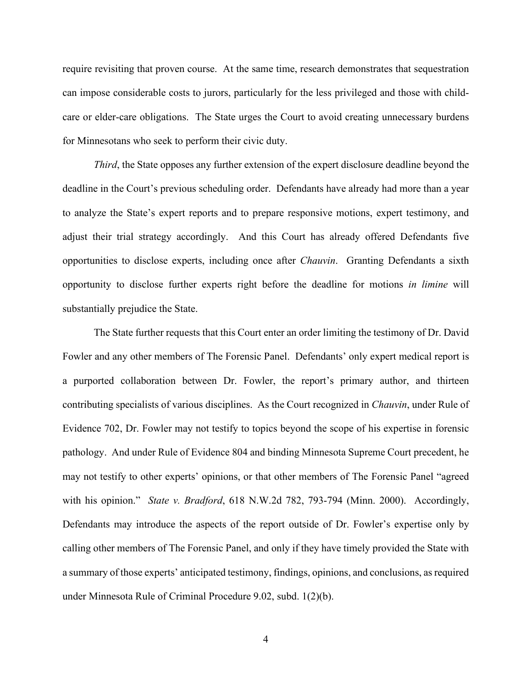require revisiting that proven course. At the same time, research demonstrates that sequestration can impose considerable costs to jurors, particularly for the less privileged and those with childcare or elder-care obligations. The State urges the Court to avoid creating unnecessary burdens for Minnesotans who seek to perform their civic duty.

*Third*, the State opposes any further extension of the expert disclosure deadline beyond the deadline in the Court's previous scheduling order. Defendants have already had more than a year to analyze the State's expert reports and to prepare responsive motions, expert testimony, and adjust their trial strategy accordingly. And this Court has already offered Defendants five opportunities to disclose experts, including once after *Chauvin*. Granting Defendants a sixth opportunity to disclose further experts right before the deadline for motions *in limine* will substantially prejudice the State.

The State further requests that this Court enter an order limiting the testimony of Dr. David Fowler and any other members of The Forensic Panel. Defendants' only expert medical report is a purported collaboration between Dr. Fowler, the report's primary author, and thirteen contributing specialists of various disciplines. As the Court recognized in *Chauvin*, under Rule of Evidence 702, Dr. Fowler may not testify to topics beyond the scope of his expertise in forensic pathology. And under Rule of Evidence 804 and binding Minnesota Supreme Court precedent, he may not testify to other experts' opinions, or that other members of The Forensic Panel "agreed with his opinion." *State v. Bradford*, 618 N.W.2d 782, 793-794 (Minn. 2000). Accordingly, Defendants may introduce the aspects of the report outside of Dr. Fowler's expertise only by calling other members of The Forensic Panel, and only if they have timely provided the State with a summary of those experts' anticipated testimony, findings, opinions, and conclusions, as required under Minnesota Rule of Criminal Procedure 9.02, subd. 1(2)(b).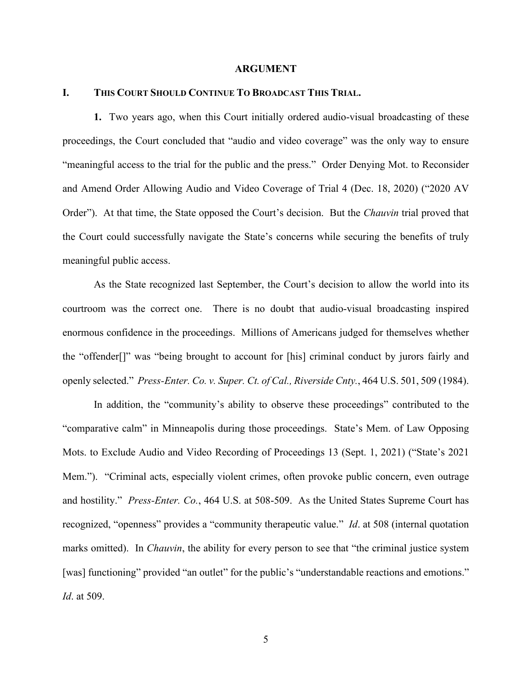#### **ARGUMENT**

#### **I. THIS COURT SHOULD CONTINUE TO BROADCAST THIS TRIAL.**

**1.** Two years ago, when this Court initially ordered audio-visual broadcasting of these proceedings, the Court concluded that "audio and video coverage" was the only way to ensure "meaningful access to the trial for the public and the press." Order Denying Mot. to Reconsider and Amend Order Allowing Audio and Video Coverage of Trial 4 (Dec. 18, 2020) ("2020 AV Order"). At that time, the State opposed the Court's decision. But the *Chauvin* trial proved that the Court could successfully navigate the State's concerns while securing the benefits of truly meaningful public access.

As the State recognized last September, the Court's decision to allow the world into its courtroom was the correct one. There is no doubt that audio-visual broadcasting inspired enormous confidence in the proceedings. Millions of Americans judged for themselves whether the "offender[]" was "being brought to account for [his] criminal conduct by jurors fairly and openly selected." *Press-Enter. Co. v. Super. Ct. of Cal., Riverside Cnty.*, 464 U.S. 501, 509 (1984).

In addition, the "community's ability to observe these proceedings" contributed to the "comparative calm" in Minneapolis during those proceedings. State's Mem. of Law Opposing Mots. to Exclude Audio and Video Recording of Proceedings 13 (Sept. 1, 2021) ("State's 2021 Mem."). "Criminal acts, especially violent crimes, often provoke public concern, even outrage and hostility." *Press-Enter. Co.*, 464 U.S. at 508-509. As the United States Supreme Court has recognized, "openness" provides a "community therapeutic value." *Id*. at 508 (internal quotation marks omitted). In *Chauvin*, the ability for every person to see that "the criminal justice system [was] functioning" provided "an outlet" for the public's "understandable reactions and emotions." *Id*. at 509.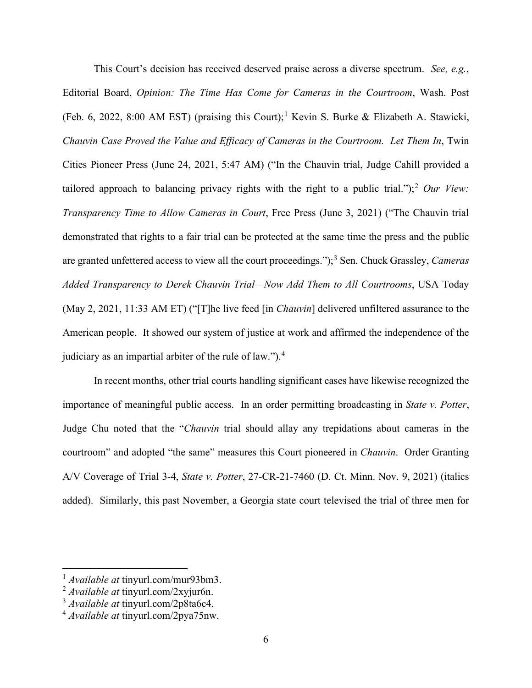This Court's decision has received deserved praise across a diverse spectrum. *See, e.g.*, Editorial Board, *Opinion: The Time Has Come for Cameras in the Courtroom*, Wash. Post (Feb. 6, 2022, 8:00 AM EST) (praising this Court);<sup>[1](#page-5-0)</sup> Kevin S. Burke & Elizabeth A. Stawicki, *Chauvin Case Proved the Value and Efficacy of Cameras in the Courtroom. Let Them In*, Twin Cities Pioneer Press (June 24, 2021, 5:47 AM) ("In the Chauvin trial, Judge Cahill provided a tailored approach to balancing privacy rights with the right to a public trial.");<sup>[2](#page-5-1)</sup> *Our View*: *Transparency Time to Allow Cameras in Court*, Free Press (June 3, 2021) ("The Chauvin trial demonstrated that rights to a fair trial can be protected at the same time the press and the public are granted unfettered access to view all the court proceedings.");<sup>[3](#page-5-2)</sup> Sen. Chuck Grassley, *Cameras Added Transparency to Derek Chauvin Trial—Now Add Them to All Courtrooms*, USA Today (May 2, 2021, 11:33 AM ET) ("[T]he live feed [in *Chauvin*] delivered unfiltered assurance to the American people. It showed our system of justice at work and affirmed the independence of the judiciary as an impartial arbiter of the rule of law.").<sup>[4](#page-5-3)</sup>

In recent months, other trial courts handling significant cases have likewise recognized the importance of meaningful public access. In an order permitting broadcasting in *State v. Potter*, Judge Chu noted that the "*Chauvin* trial should allay any trepidations about cameras in the courtroom" and adopted "the same" measures this Court pioneered in *Chauvin*. Order Granting A/V Coverage of Trial 3-4, *State v. Potter*, 27-CR-21-7460 (D. Ct. Minn. Nov. 9, 2021) (italics added). Similarly, this past November, a Georgia state court televised the trial of three men for

<sup>1</sup> *Available at* tinyurl.com/mur93bm3.

<span id="page-5-1"></span><span id="page-5-0"></span><sup>2</sup> *Available at* tinyurl.com/2xyjur6n.

<span id="page-5-2"></span><sup>3</sup> *Available at* tinyurl.com/2p8ta6c4.

<span id="page-5-3"></span><sup>4</sup> *Available at* tinyurl.com/2pya75nw.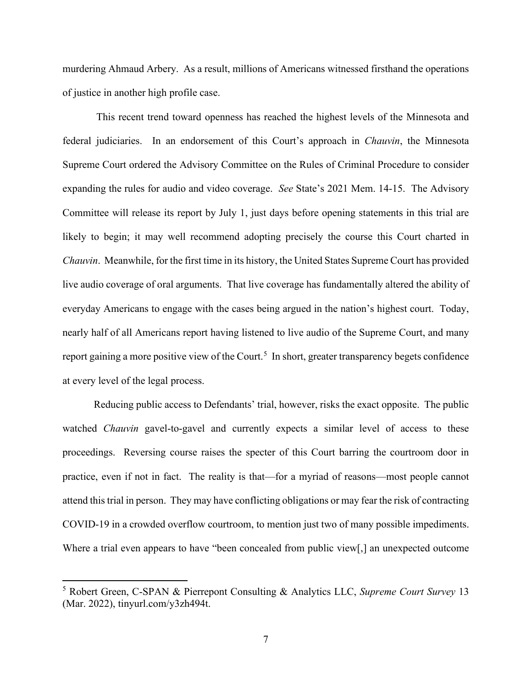murdering Ahmaud Arbery. As a result, millions of Americans witnessed firsthand the operations of justice in another high profile case.

This recent trend toward openness has reached the highest levels of the Minnesota and federal judiciaries. In an endorsement of this Court's approach in *Chauvin*, the Minnesota Supreme Court ordered the Advisory Committee on the Rules of Criminal Procedure to consider expanding the rules for audio and video coverage. *See* State's 2021 Mem. 14-15. The Advisory Committee will release its report by July 1, just days before opening statements in this trial are likely to begin; it may well recommend adopting precisely the course this Court charted in *Chauvin*. Meanwhile, for the first time in its history, the United States Supreme Court has provided live audio coverage of oral arguments. That live coverage has fundamentally altered the ability of everyday Americans to engage with the cases being argued in the nation's highest court. Today, nearly half of all Americans report having listened to live audio of the Supreme Court, and many report gaining a more positive view of the Court.<sup>[5](#page-6-0)</sup> In short, greater transparency begets confidence at every level of the legal process.

Reducing public access to Defendants' trial, however, risks the exact opposite. The public watched *Chauvin* gavel-to-gavel and currently expects a similar level of access to these proceedings. Reversing course raises the specter of this Court barring the courtroom door in practice, even if not in fact. The reality is that—for a myriad of reasons—most people cannot attend this trial in person. They may have conflicting obligations or may fear the risk of contracting COVID-19 in a crowded overflow courtroom, to mention just two of many possible impediments. Where a trial even appears to have "been concealed from public view[,] an unexpected outcome

<span id="page-6-0"></span><sup>5</sup> Robert Green, C-SPAN & Pierrepont Consulting & Analytics LLC, *Supreme Court Survey* 13 (Mar. 2022), tinyurl.com/y3zh494t.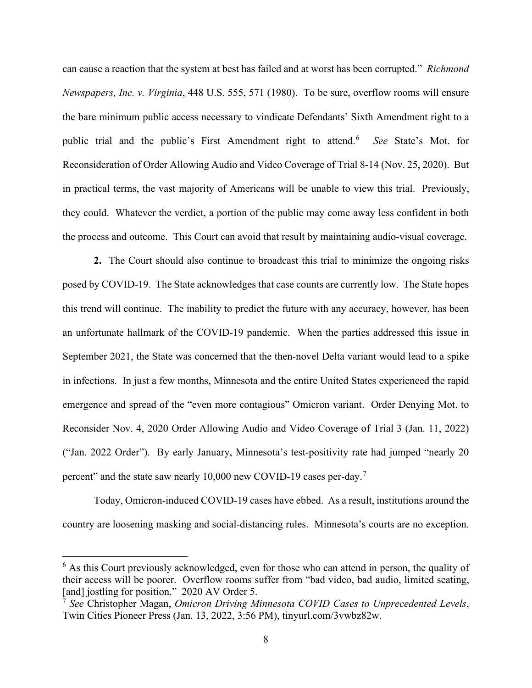can cause a reaction that the system at best has failed and at worst has been corrupted." *Richmond Newspapers, Inc. v. Virginia*, 448 U.S. 555, 571 (1980). To be sure, overflow rooms will ensure the bare minimum public access necessary to vindicate Defendants' Sixth Amendment right to a public trial and the public's First Amendment right to attend.<sup>[6](#page-7-0)</sup> *See* State's Mot. for Reconsideration of Order Allowing Audio and Video Coverage of Trial 8-14 (Nov. 25, 2020). But in practical terms, the vast majority of Americans will be unable to view this trial. Previously, they could. Whatever the verdict, a portion of the public may come away less confident in both the process and outcome. This Court can avoid that result by maintaining audio-visual coverage.

**2.** The Court should also continue to broadcast this trial to minimize the ongoing risks posed by COVID-19. The State acknowledges that case counts are currently low. The State hopes this trend will continue. The inability to predict the future with any accuracy, however, has been an unfortunate hallmark of the COVID-19 pandemic. When the parties addressed this issue in September 2021, the State was concerned that the then-novel Delta variant would lead to a spike in infections. In just a few months, Minnesota and the entire United States experienced the rapid emergence and spread of the "even more contagious" Omicron variant. Order Denying Mot. to Reconsider Nov. 4, 2020 Order Allowing Audio and Video Coverage of Trial 3 (Jan. 11, 2022) ("Jan. 2022 Order"). By early January, Minnesota's test-positivity rate had jumped "nearly 20 percent" and the state saw nearly 10,000 new COVID-19 cases per-day.<sup>[7](#page-7-1)</sup>

Today, Omicron-induced COVID-19 cases have ebbed. As a result, institutions around the country are loosening masking and social-distancing rules. Minnesota's courts are no exception.

<span id="page-7-0"></span> $6$  As this Court previously acknowledged, even for those who can attend in person, the quality of their access will be poorer. Overflow rooms suffer from "bad video, bad audio, limited seating, [and] jostling for position." 2020 AV Order 5.

<span id="page-7-1"></span><sup>7</sup> *See* Christopher Magan, *Omicron Driving Minnesota COVID Cases to Unprecedented Levels*, Twin Cities Pioneer Press (Jan. 13, 2022, 3:56 PM), tinyurl.com/3vwbz82w.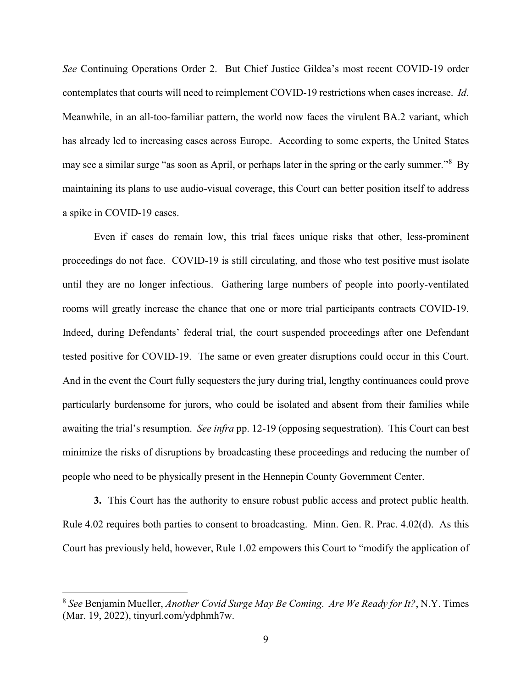*See* Continuing Operations Order 2. But Chief Justice Gildea's most recent COVID-19 order contemplates that courts will need to reimplement COVID-19 restrictions when cases increase. *Id*. Meanwhile, in an all-too-familiar pattern, the world now faces the virulent BA.2 variant, which has already led to increasing cases across Europe. According to some experts, the United States may see a similar surge "as soon as April, or perhaps later in the spring or the early summer."<sup>[8](#page-8-0)</sup> By maintaining its plans to use audio-visual coverage, this Court can better position itself to address a spike in COVID-19 cases.

Even if cases do remain low, this trial faces unique risks that other, less-prominent proceedings do not face. COVID-19 is still circulating, and those who test positive must isolate until they are no longer infectious. Gathering large numbers of people into poorly-ventilated rooms will greatly increase the chance that one or more trial participants contracts COVID-19. Indeed, during Defendants' federal trial, the court suspended proceedings after one Defendant tested positive for COVID-19. The same or even greater disruptions could occur in this Court. And in the event the Court fully sequesters the jury during trial, lengthy continuances could prove particularly burdensome for jurors, who could be isolated and absent from their families while awaiting the trial's resumption. *See infra* pp. 12-19 (opposing sequestration). This Court can best minimize the risks of disruptions by broadcasting these proceedings and reducing the number of people who need to be physically present in the Hennepin County Government Center.

**3.** This Court has the authority to ensure robust public access and protect public health. Rule 4.02 requires both parties to consent to broadcasting. Minn. Gen. R. Prac. 4.02(d). As this Court has previously held, however, Rule 1.02 empowers this Court to "modify the application of

<span id="page-8-0"></span><sup>8</sup> *See* Benjamin Mueller, *Another Covid Surge May Be Coming. Are We Ready for It?*, N.Y. Times (Mar. 19, 2022), tinyurl.com/ydphmh7w.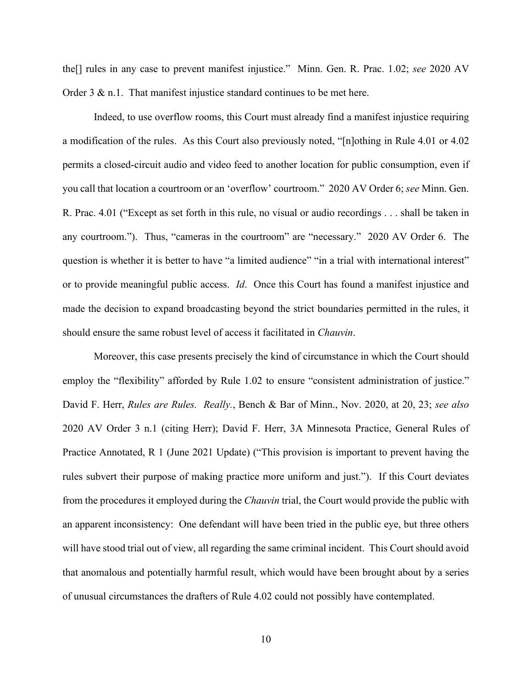the[] rules in any case to prevent manifest injustice." Minn. Gen. R. Prac. 1.02; *see* 2020 AV Order  $3 \& n.1$ . That manifest injustice standard continues to be met here.

Indeed, to use overflow rooms, this Court must already find a manifest injustice requiring a modification of the rules. As this Court also previously noted, "[n]othing in Rule 4.01 or 4.02 permits a closed-circuit audio and video feed to another location for public consumption, even if you call that location a courtroom or an 'overflow' courtroom." 2020 AV Order 6; *see* Minn. Gen. R. Prac. 4.01 ("Except as set forth in this rule, no visual or audio recordings . . . shall be taken in any courtroom."). Thus, "cameras in the courtroom" are "necessary." 2020 AV Order 6. The question is whether it is better to have "a limited audience" "in a trial with international interest" or to provide meaningful public access. *Id*. Once this Court has found a manifest injustice and made the decision to expand broadcasting beyond the strict boundaries permitted in the rules, it should ensure the same robust level of access it facilitated in *Chauvin*.

Moreover, this case presents precisely the kind of circumstance in which the Court should employ the "flexibility" afforded by Rule 1.02 to ensure "consistent administration of justice." David F. Herr, *Rules are Rules. Really.*, Bench & Bar of Minn., Nov. 2020, at 20, 23; *see also* 2020 AV Order 3 n.1 (citing Herr); David F. Herr, 3A Minnesota Practice, General Rules of Practice Annotated, R 1 (June 2021 Update) ("This provision is important to prevent having the rules subvert their purpose of making practice more uniform and just."). If this Court deviates from the procedures it employed during the *Chauvin* trial, the Court would provide the public with an apparent inconsistency: One defendant will have been tried in the public eye, but three others will have stood trial out of view, all regarding the same criminal incident. This Court should avoid that anomalous and potentially harmful result, which would have been brought about by a series of unusual circumstances the drafters of Rule 4.02 could not possibly have contemplated.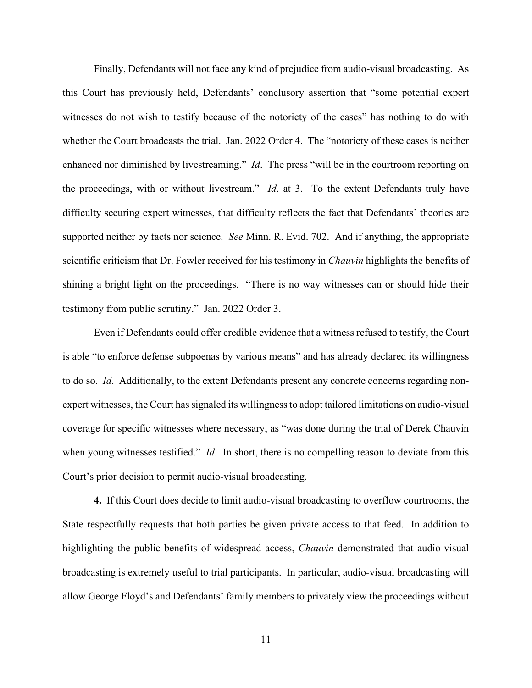Finally, Defendants will not face any kind of prejudice from audio-visual broadcasting. As this Court has previously held, Defendants' conclusory assertion that "some potential expert witnesses do not wish to testify because of the notoriety of the cases" has nothing to do with whether the Court broadcasts the trial. Jan. 2022 Order 4. The "notoriety of these cases is neither enhanced nor diminished by livestreaming." *Id*. The press "will be in the courtroom reporting on the proceedings, with or without livestream." *Id*. at 3. To the extent Defendants truly have difficulty securing expert witnesses, that difficulty reflects the fact that Defendants' theories are supported neither by facts nor science. *See* Minn. R. Evid. 702. And if anything, the appropriate scientific criticism that Dr. Fowler received for his testimony in *Chauvin* highlights the benefits of shining a bright light on the proceedings. "There is no way witnesses can or should hide their testimony from public scrutiny." Jan. 2022 Order 3.

Even if Defendants could offer credible evidence that a witness refused to testify, the Court is able "to enforce defense subpoenas by various means" and has already declared its willingness to do so. *Id*. Additionally, to the extent Defendants present any concrete concerns regarding nonexpert witnesses, the Court has signaled its willingness to adopt tailored limitations on audio-visual coverage for specific witnesses where necessary, as "was done during the trial of Derek Chauvin when young witnesses testified." *Id*. In short, there is no compelling reason to deviate from this Court's prior decision to permit audio-visual broadcasting.

**4.** If this Court does decide to limit audio-visual broadcasting to overflow courtrooms, the State respectfully requests that both parties be given private access to that feed. In addition to highlighting the public benefits of widespread access, *Chauvin* demonstrated that audio-visual broadcasting is extremely useful to trial participants. In particular, audio-visual broadcasting will allow George Floyd's and Defendants' family members to privately view the proceedings without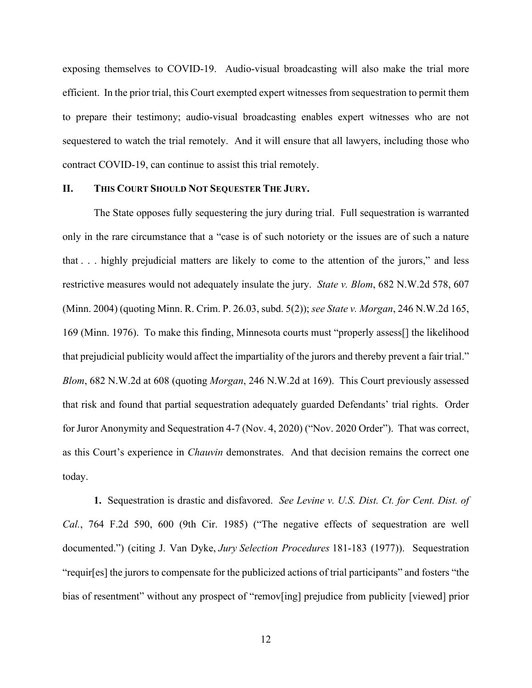exposing themselves to COVID-19. Audio-visual broadcasting will also make the trial more efficient. In the prior trial, this Court exempted expert witnesses from sequestration to permit them to prepare their testimony; audio-visual broadcasting enables expert witnesses who are not sequestered to watch the trial remotely. And it will ensure that all lawyers, including those who contract COVID-19, can continue to assist this trial remotely.

### **II. THIS COURT SHOULD NOT SEQUESTER THE JURY.**

The State opposes fully sequestering the jury during trial. Full sequestration is warranted only in the rare circumstance that a "case is of such notoriety or the issues are of such a nature that . . . highly prejudicial matters are likely to come to the attention of the jurors," and less restrictive measures would not adequately insulate the jury. *State v. Blom*, 682 N.W.2d 578, 607 (Minn. 2004) (quoting Minn. R. Crim. P. 26.03, subd. 5(2)); *see State v. Morgan*, 246 N.W.2d 165, 169 (Minn. 1976). To make this finding, Minnesota courts must "properly assess[] the likelihood that prejudicial publicity would affect the impartiality of the jurors and thereby prevent a fair trial." *Blom*, 682 N.W.2d at 608 (quoting *Morgan*, 246 N.W.2d at 169). This Court previously assessed that risk and found that partial sequestration adequately guarded Defendants' trial rights. Order for Juror Anonymity and Sequestration 4-7 (Nov. 4, 2020) ("Nov. 2020 Order"). That was correct, as this Court's experience in *Chauvin* demonstrates. And that decision remains the correct one today.

**1.** Sequestration is drastic and disfavored. *See Levine v. U.S. Dist. Ct. for Cent. Dist. of Cal.*, 764 F.2d 590, 600 (9th Cir. 1985) ("The negative effects of sequestration are well documented.") (citing J. Van Dyke, *Jury Selection Procedures* 181-183 (1977)). Sequestration "requir[es] the jurors to compensate for the publicized actions of trial participants" and fosters "the bias of resentment" without any prospect of "remov[ing] prejudice from publicity [viewed] prior

12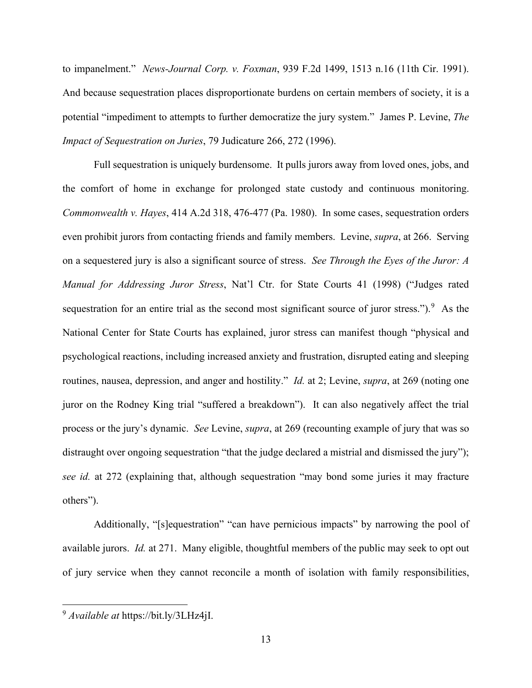to impanelment." *News-Journal Corp. v. Foxman*, 939 F.2d 1499, 1513 n.16 (11th Cir. 1991). And because sequestration places disproportionate burdens on certain members of society, it is a potential "impediment to attempts to further democratize the jury system." James P. Levine, *The Impact of Sequestration on Juries*, 79 Judicature 266, 272 (1996).

Full sequestration is uniquely burdensome. It pulls jurors away from loved ones, jobs, and the comfort of home in exchange for prolonged state custody and continuous monitoring. *Commonwealth v. Hayes*, 414 A.2d 318, 476-477 (Pa. 1980). In some cases, sequestration orders even prohibit jurors from contacting friends and family members. Levine, *supra*, at 266. Serving on a sequestered jury is also a significant source of stress. *See Through the Eyes of the Juror: A Manual for Addressing Juror Stress*, Nat'l Ctr. for State Courts 41 (1998) ("Judges rated sequestration for an entire trial as the second most significant source of juror stress."). <sup>[9](#page-12-0)</sup> As the National Center for State Courts has explained, juror stress can manifest though "physical and psychological reactions, including increased anxiety and frustration, disrupted eating and sleeping routines, nausea, depression, and anger and hostility." *Id.* at 2; Levine, *supra*, at 269 (noting one juror on the Rodney King trial "suffered a breakdown"). It can also negatively affect the trial process or the jury's dynamic. *See* Levine, *supra*, at 269 (recounting example of jury that was so distraught over ongoing sequestration "that the judge declared a mistrial and dismissed the jury"); *see id.* at 272 (explaining that, although sequestration "may bond some juries it may fracture others").

Additionally, "[s]equestration" "can have pernicious impacts" by narrowing the pool of available jurors. *Id.* at 271. Many eligible, thoughtful members of the public may seek to opt out of jury service when they cannot reconcile a month of isolation with family responsibilities,

<span id="page-12-0"></span><sup>9</sup> *Available at* https://bit.ly/3LHz4jI.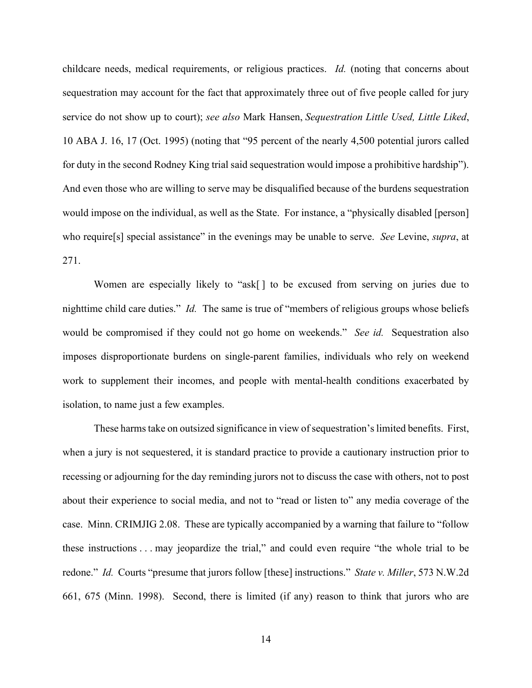childcare needs, medical requirements, or religious practices. *Id.* (noting that concerns about sequestration may account for the fact that approximately three out of five people called for jury service do not show up to court); *see also* Mark Hansen, *Sequestration Little Used, Little Liked*, 10 ABA J. 16, 17 (Oct. 1995) (noting that "95 percent of the nearly 4,500 potential jurors called for duty in the second Rodney King trial said sequestration would impose a prohibitive hardship"). And even those who are willing to serve may be disqualified because of the burdens sequestration would impose on the individual, as well as the State. For instance, a "physically disabled [person] who require[s] special assistance" in the evenings may be unable to serve. *See* Levine, *supra*, at 271.

Women are especially likely to "ask[] to be excused from serving on juries due to nighttime child care duties." *Id.* The same is true of "members of religious groups whose beliefs would be compromised if they could not go home on weekends." *See id.* Sequestration also imposes disproportionate burdens on single-parent families, individuals who rely on weekend work to supplement their incomes, and people with mental-health conditions exacerbated by isolation, to name just a few examples.

These harms take on outsized significance in view of sequestration's limited benefits. First, when a jury is not sequestered, it is standard practice to provide a cautionary instruction prior to recessing or adjourning for the day reminding jurors not to discuss the case with others, not to post about their experience to social media, and not to "read or listen to" any media coverage of the case. Minn. CRIMJIG 2.08. These are typically accompanied by a warning that failure to "follow these instructions . . . may jeopardize the trial," and could even require "the whole trial to be redone." *Id.* Courts "presume that jurors follow [these] instructions." *State v. Miller*, 573 N.W.2d 661, 675 (Minn. 1998). Second, there is limited (if any) reason to think that jurors who are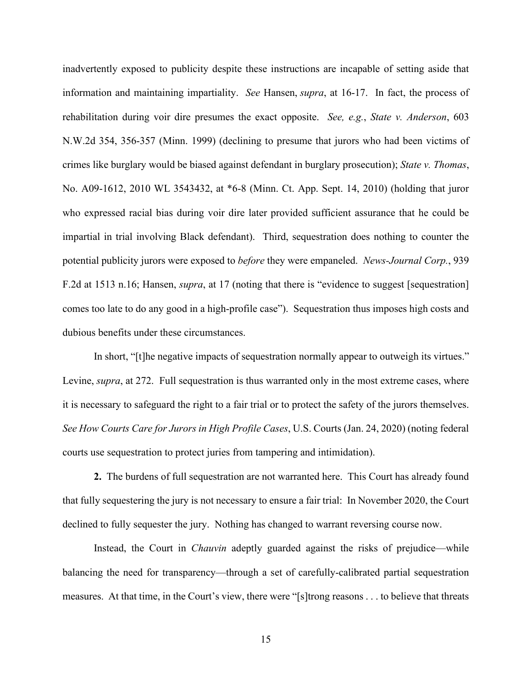inadvertently exposed to publicity despite these instructions are incapable of setting aside that information and maintaining impartiality. *See* Hansen, *supra*, at 16-17. In fact, the process of rehabilitation during voir dire presumes the exact opposite. *See, e.g.*, *State v. Anderson*, 603 N.W.2d 354, 356-357 (Minn. 1999) (declining to presume that jurors who had been victims of crimes like burglary would be biased against defendant in burglary prosecution); *State v. Thomas*, No. A09-1612, 2010 WL 3543432, at \*6-8 (Minn. Ct. App. Sept. 14, 2010) (holding that juror who expressed racial bias during voir dire later provided sufficient assurance that he could be impartial in trial involving Black defendant). Third, sequestration does nothing to counter the potential publicity jurors were exposed to *before* they were empaneled. *News-Journal Corp.*, 939 F.2d at 1513 n.16; Hansen, *supra*, at 17 (noting that there is "evidence to suggest [sequestration] comes too late to do any good in a high-profile case"). Sequestration thus imposes high costs and dubious benefits under these circumstances.

In short, "[t]he negative impacts of sequestration normally appear to outweigh its virtues." Levine, *supra*, at 272. Full sequestration is thus warranted only in the most extreme cases, where it is necessary to safeguard the right to a fair trial or to protect the safety of the jurors themselves. *See How Courts Care for Jurors in High Profile Cases*, U.S. Courts (Jan. 24, 2020) (noting federal courts use sequestration to protect juries from tampering and intimidation).

**2.** The burdens of full sequestration are not warranted here. This Court has already found that fully sequestering the jury is not necessary to ensure a fair trial: In November 2020, the Court declined to fully sequester the jury. Nothing has changed to warrant reversing course now.

Instead, the Court in *Chauvin* adeptly guarded against the risks of prejudice—while balancing the need for transparency—through a set of carefully-calibrated partial sequestration measures. At that time, in the Court's view, there were "[s]trong reasons . . . to believe that threats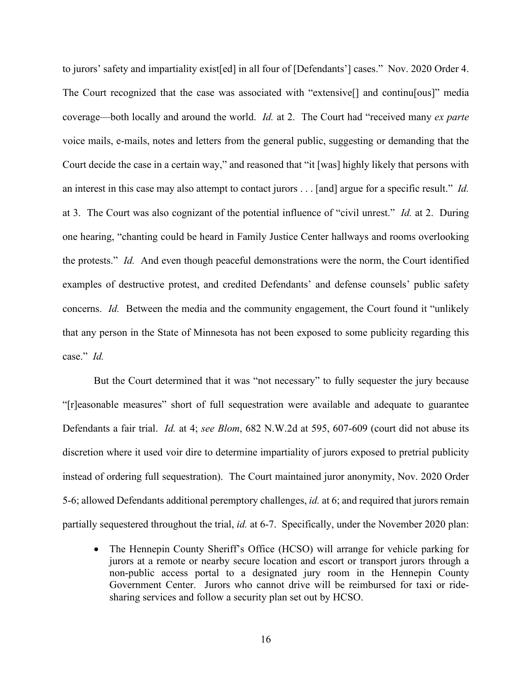to jurors' safety and impartiality exist[ed] in all four of [Defendants'] cases." Nov. 2020 Order 4. The Court recognized that the case was associated with "extensive[] and continu[ous]" media coverage—both locally and around the world. *Id.* at 2. The Court had "received many *ex parte*  voice mails, e-mails, notes and letters from the general public, suggesting or demanding that the Court decide the case in a certain way," and reasoned that "it [was] highly likely that persons with an interest in this case may also attempt to contact jurors . . . [and] argue for a specific result." *Id.* at 3. The Court was also cognizant of the potential influence of "civil unrest." *Id.* at 2. During one hearing, "chanting could be heard in Family Justice Center hallways and rooms overlooking the protests." *Id.* And even though peaceful demonstrations were the norm, the Court identified examples of destructive protest, and credited Defendants' and defense counsels' public safety concerns. *Id.* Between the media and the community engagement, the Court found it "unlikely that any person in the State of Minnesota has not been exposed to some publicity regarding this case." *Id.*

But the Court determined that it was "not necessary" to fully sequester the jury because "[r]easonable measures" short of full sequestration were available and adequate to guarantee Defendants a fair trial. *Id.* at 4; *see Blom*, 682 N.W.2d at 595, 607-609 (court did not abuse its discretion where it used voir dire to determine impartiality of jurors exposed to pretrial publicity instead of ordering full sequestration). The Court maintained juror anonymity, Nov. 2020 Order 5-6; allowed Defendants additional peremptory challenges, *id.* at 6; and required that jurors remain partially sequestered throughout the trial, *id.* at 6-7. Specifically, under the November 2020 plan:

• The Hennepin County Sheriff's Office (HCSO) will arrange for vehicle parking for jurors at a remote or nearby secure location and escort or transport jurors through a non-public access portal to a designated jury room in the Hennepin County Government Center. Jurors who cannot drive will be reimbursed for taxi or ridesharing services and follow a security plan set out by HCSO.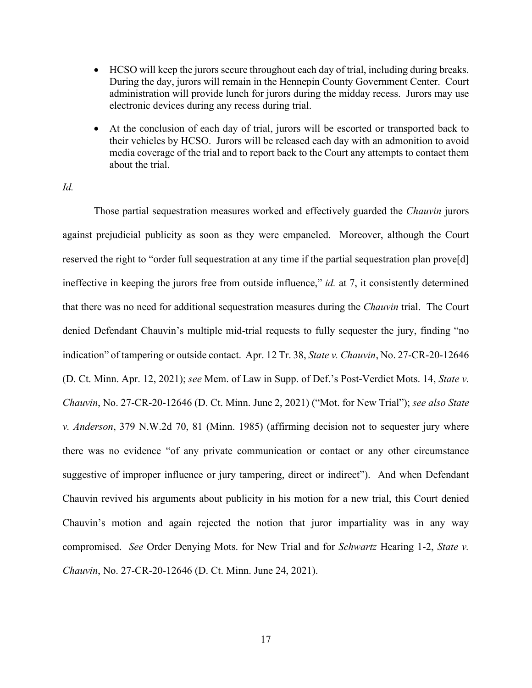- HCSO will keep the jurors secure throughout each day of trial, including during breaks. During the day, jurors will remain in the Hennepin County Government Center. Court administration will provide lunch for jurors during the midday recess. Jurors may use electronic devices during any recess during trial.
- At the conclusion of each day of trial, jurors will be escorted or transported back to their vehicles by HCSO. Jurors will be released each day with an admonition to avoid media coverage of the trial and to report back to the Court any attempts to contact them about the trial.

## *Id.*

Those partial sequestration measures worked and effectively guarded the *Chauvin* jurors against prejudicial publicity as soon as they were empaneled. Moreover, although the Court reserved the right to "order full sequestration at any time if the partial sequestration plan prove[d] ineffective in keeping the jurors free from outside influence," *id.* at 7, it consistently determined that there was no need for additional sequestration measures during the *Chauvin* trial. The Court denied Defendant Chauvin's multiple mid-trial requests to fully sequester the jury, finding "no indication" of tampering or outside contact. Apr. 12 Tr. 38, *State v. Chauvin*, No. 27-CR-20-12646 (D. Ct. Minn. Apr. 12, 2021); *see* Mem. of Law in Supp. of Def.'s Post-Verdict Mots. 14, *State v. Chauvin*, No. 27-CR-20-12646 (D. Ct. Minn. June 2, 2021) ("Mot. for New Trial"); *see also State v. Anderson*, 379 N.W.2d 70, 81 (Minn. 1985) (affirming decision not to sequester jury where there was no evidence "of any private communication or contact or any other circumstance suggestive of improper influence or jury tampering, direct or indirect"). And when Defendant Chauvin revived his arguments about publicity in his motion for a new trial, this Court denied Chauvin's motion and again rejected the notion that juror impartiality was in any way compromised. *See* Order Denying Mots. for New Trial and for *Schwartz* Hearing 1-2, *State v. Chauvin*, No. 27-CR-20-12646 (D. Ct. Minn. June 24, 2021).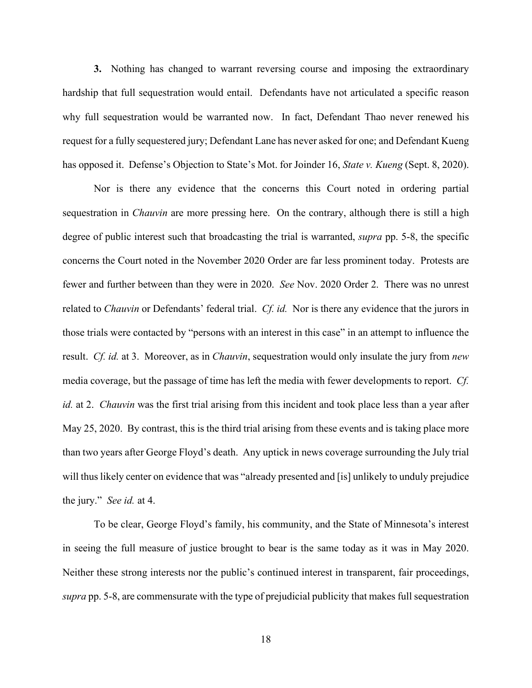**3.** Nothing has changed to warrant reversing course and imposing the extraordinary hardship that full sequestration would entail. Defendants have not articulated a specific reason why full sequestration would be warranted now. In fact, Defendant Thao never renewed his request for a fully sequestered jury; Defendant Lane has never asked for one; and Defendant Kueng has opposed it. Defense's Objection to State's Mot. for Joinder 16, *State v. Kueng* (Sept. 8, 2020).

Nor is there any evidence that the concerns this Court noted in ordering partial sequestration in *Chauvin* are more pressing here. On the contrary, although there is still a high degree of public interest such that broadcasting the trial is warranted, *supra* pp. 5-8, the specific concerns the Court noted in the November 2020 Order are far less prominent today. Protests are fewer and further between than they were in 2020. *See* Nov. 2020 Order 2. There was no unrest related to *Chauvin* or Defendants' federal trial. *Cf. id.* Nor is there any evidence that the jurors in those trials were contacted by "persons with an interest in this case" in an attempt to influence the result. *Cf. id.* at 3. Moreover, as in *Chauvin*, sequestration would only insulate the jury from *new*  media coverage, but the passage of time has left the media with fewer developments to report. *Cf. id.* at 2. *Chauvin* was the first trial arising from this incident and took place less than a year after May 25, 2020. By contrast, this is the third trial arising from these events and is taking place more than two years after George Floyd's death. Any uptick in news coverage surrounding the July trial will thus likely center on evidence that was "already presented and [is] unlikely to unduly prejudice the jury." *See id.* at 4.

To be clear, George Floyd's family, his community, and the State of Minnesota's interest in seeing the full measure of justice brought to bear is the same today as it was in May 2020. Neither these strong interests nor the public's continued interest in transparent, fair proceedings, *supra* pp. 5-8, are commensurate with the type of prejudicial publicity that makes full sequestration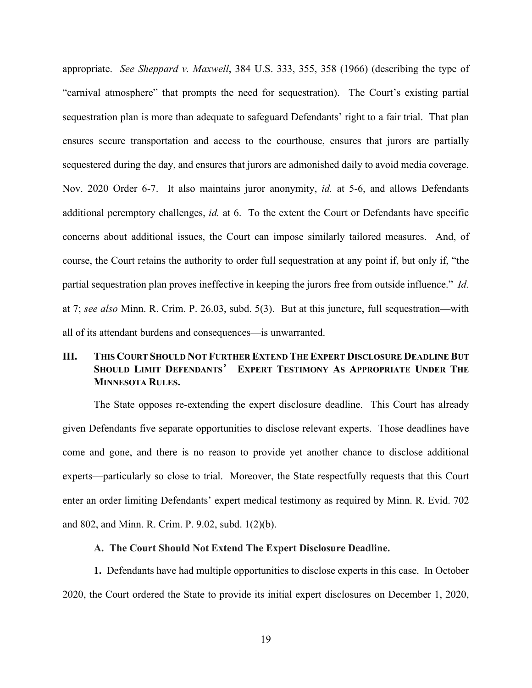appropriate. *See Sheppard v. Maxwell*, 384 U.S. 333, 355, 358 (1966) (describing the type of "carnival atmosphere" that prompts the need for sequestration). The Court's existing partial sequestration plan is more than adequate to safeguard Defendants' right to a fair trial. That plan ensures secure transportation and access to the courthouse, ensures that jurors are partially sequestered during the day, and ensures that jurors are admonished daily to avoid media coverage. Nov. 2020 Order 6-7. It also maintains juror anonymity, *id.* at 5-6, and allows Defendants additional peremptory challenges, *id.* at 6. To the extent the Court or Defendants have specific concerns about additional issues, the Court can impose similarly tailored measures. And, of course, the Court retains the authority to order full sequestration at any point if, but only if, "the partial sequestration plan proves ineffective in keeping the jurors free from outside influence." *Id.* at 7; *see also* Minn. R. Crim. P. 26.03, subd. 5(3). But at this juncture, full sequestration—with all of its attendant burdens and consequences—is unwarranted.

# **III. THIS COURT SHOULD NOT FURTHER EXTEND THE EXPERT DISCLOSURE DEADLINE BUT SHOULD LIMIT DEFENDANTS**' **EXPERT TESTIMONY AS APPROPRIATE UNDER THE MINNESOTA RULES.**

The State opposes re-extending the expert disclosure deadline. This Court has already given Defendants five separate opportunities to disclose relevant experts. Those deadlines have come and gone, and there is no reason to provide yet another chance to disclose additional experts—particularly so close to trial. Moreover, the State respectfully requests that this Court enter an order limiting Defendants' expert medical testimony as required by Minn. R. Evid. 702 and 802, and Minn. R. Crim. P. 9.02, subd. 1(2)(b).

### **A. The Court Should Not Extend The Expert Disclosure Deadline.**

**1.** Defendants have had multiple opportunities to disclose experts in this case. In October 2020, the Court ordered the State to provide its initial expert disclosures on December 1, 2020,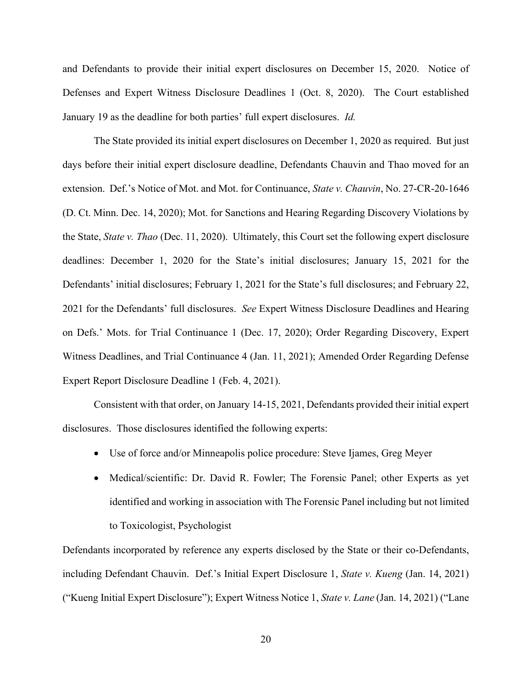and Defendants to provide their initial expert disclosures on December 15, 2020. Notice of Defenses and Expert Witness Disclosure Deadlines 1 (Oct. 8, 2020). The Court established January 19 as the deadline for both parties' full expert disclosures. *Id.*

The State provided its initial expert disclosures on December 1, 2020 as required. But just days before their initial expert disclosure deadline, Defendants Chauvin and Thao moved for an extension. Def.'s Notice of Mot. and Mot. for Continuance, *State v. Chauvin*, No. 27-CR-20-1646 (D. Ct. Minn. Dec. 14, 2020); Mot. for Sanctions and Hearing Regarding Discovery Violations by the State, *State v. Thao* (Dec. 11, 2020). Ultimately, this Court set the following expert disclosure deadlines: December 1, 2020 for the State's initial disclosures; January 15, 2021 for the Defendants' initial disclosures; February 1, 2021 for the State's full disclosures; and February 22, 2021 for the Defendants' full disclosures. *See* Expert Witness Disclosure Deadlines and Hearing on Defs.' Mots. for Trial Continuance 1 (Dec. 17, 2020); Order Regarding Discovery, Expert Witness Deadlines, and Trial Continuance 4 (Jan. 11, 2021); Amended Order Regarding Defense Expert Report Disclosure Deadline 1 (Feb. 4, 2021).

Consistent with that order, on January 14-15, 2021, Defendants provided their initial expert disclosures. Those disclosures identified the following experts:

- Use of force and/or Minneapolis police procedure: Steve Ijames, Greg Meyer
- Medical/scientific: Dr. David R. Fowler; The Forensic Panel; other Experts as yet identified and working in association with The Forensic Panel including but not limited to Toxicologist, Psychologist

Defendants incorporated by reference any experts disclosed by the State or their co-Defendants, including Defendant Chauvin. Def.'s Initial Expert Disclosure 1, *State v. Kueng* (Jan. 14, 2021) ("Kueng Initial Expert Disclosure"); Expert Witness Notice 1, *State v. Lane* (Jan. 14, 2021) ("Lane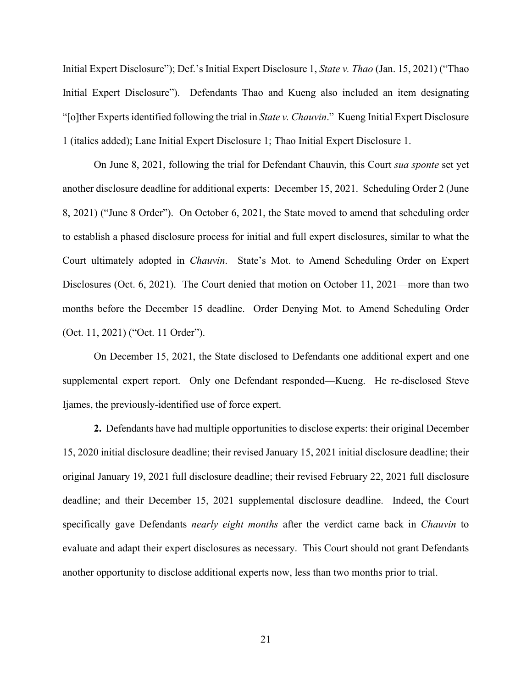Initial Expert Disclosure"); Def.'s Initial Expert Disclosure 1, *State v. Thao* (Jan. 15, 2021) ("Thao Initial Expert Disclosure"). Defendants Thao and Kueng also included an item designating "[o]ther Experts identified following the trial in *State v. Chauvin*." Kueng Initial Expert Disclosure 1 (italics added); Lane Initial Expert Disclosure 1; Thao Initial Expert Disclosure 1.

On June 8, 2021, following the trial for Defendant Chauvin, this Court *sua sponte* set yet another disclosure deadline for additional experts: December 15, 2021. Scheduling Order 2 (June 8, 2021) ("June 8 Order"). On October 6, 2021, the State moved to amend that scheduling order to establish a phased disclosure process for initial and full expert disclosures, similar to what the Court ultimately adopted in *Chauvin*. State's Mot. to Amend Scheduling Order on Expert Disclosures (Oct. 6, 2021). The Court denied that motion on October 11, 2021—more than two months before the December 15 deadline. Order Denying Mot. to Amend Scheduling Order (Oct. 11, 2021) ("Oct. 11 Order").

On December 15, 2021, the State disclosed to Defendants one additional expert and one supplemental expert report. Only one Defendant responded—Kueng. He re-disclosed Steve Ijames, the previously-identified use of force expert.

**2.** Defendants have had multiple opportunities to disclose experts: their original December 15, 2020 initial disclosure deadline; their revised January 15, 2021 initial disclosure deadline; their original January 19, 2021 full disclosure deadline; their revised February 22, 2021 full disclosure deadline; and their December 15, 2021 supplemental disclosure deadline. Indeed, the Court specifically gave Defendants *nearly eight months* after the verdict came back in *Chauvin* to evaluate and adapt their expert disclosures as necessary. This Court should not grant Defendants another opportunity to disclose additional experts now, less than two months prior to trial.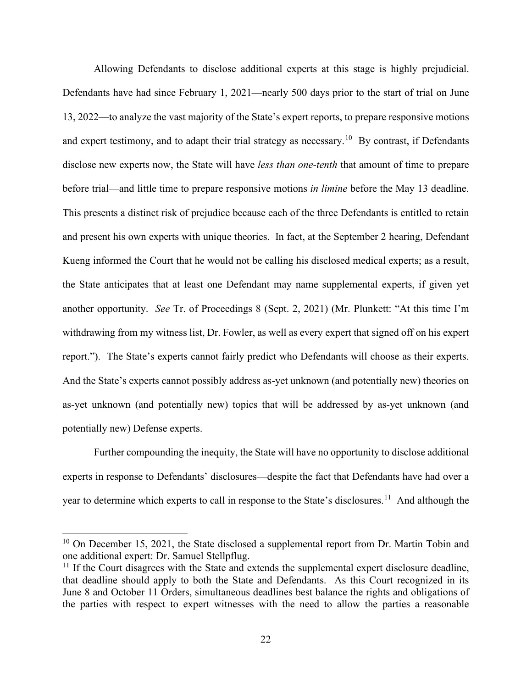Allowing Defendants to disclose additional experts at this stage is highly prejudicial. Defendants have had since February 1, 2021—nearly 500 days prior to the start of trial on June 13, 2022—to analyze the vast majority of the State's expert reports, to prepare responsive motions and expert testimony, and to adapt their trial strategy as necessary.<sup>[10](#page-21-0)</sup> By contrast, if Defendants disclose new experts now, the State will have *less than one-tenth* that amount of time to prepare before trial—and little time to prepare responsive motions *in limine* before the May 13 deadline. This presents a distinct risk of prejudice because each of the three Defendants is entitled to retain and present his own experts with unique theories. In fact, at the September 2 hearing, Defendant Kueng informed the Court that he would not be calling his disclosed medical experts; as a result, the State anticipates that at least one Defendant may name supplemental experts, if given yet another opportunity. *See* Tr. of Proceedings 8 (Sept. 2, 2021) (Mr. Plunkett: "At this time I'm withdrawing from my witness list, Dr. Fowler, as well as every expert that signed off on his expert report."). The State's experts cannot fairly predict who Defendants will choose as their experts. And the State's experts cannot possibly address as-yet unknown (and potentially new) theories on as-yet unknown (and potentially new) topics that will be addressed by as-yet unknown (and potentially new) Defense experts.

Further compounding the inequity, the State will have no opportunity to disclose additional experts in response to Defendants' disclosures—despite the fact that Defendants have had over a year to determine which experts to call in response to the State's disclosures.<sup>11</sup> And although the

<span id="page-21-0"></span><sup>&</sup>lt;sup>10</sup> On December 15, 2021, the State disclosed a supplemental report from Dr. Martin Tobin and one additional expert: Dr. Samuel Stellpflug.

<span id="page-21-1"></span> $11$  If the Court disagrees with the State and extends the supplemental expert disclosure deadline, that deadline should apply to both the State and Defendants. As this Court recognized in its June 8 and October 11 Orders, simultaneous deadlines best balance the rights and obligations of the parties with respect to expert witnesses with the need to allow the parties a reasonable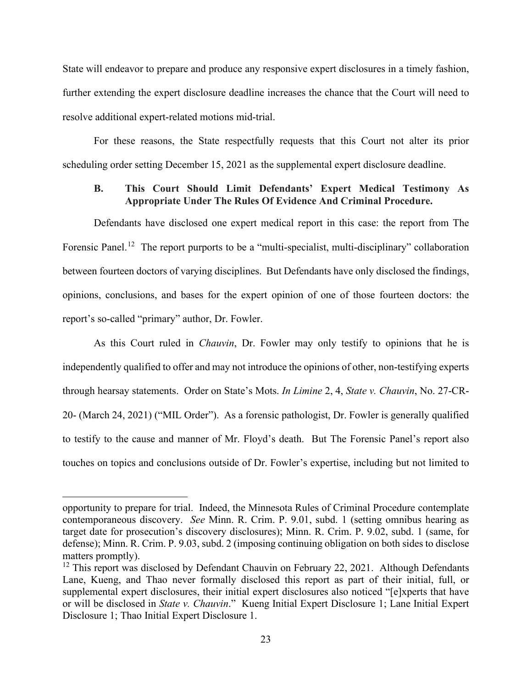State will endeavor to prepare and produce any responsive expert disclosures in a timely fashion, further extending the expert disclosure deadline increases the chance that the Court will need to resolve additional expert-related motions mid-trial.

For these reasons, the State respectfully requests that this Court not alter its prior scheduling order setting December 15, 2021 as the supplemental expert disclosure deadline.

## **B. This Court Should Limit Defendants' Expert Medical Testimony As Appropriate Under The Rules Of Evidence And Criminal Procedure.**

Defendants have disclosed one expert medical report in this case: the report from The Forensic Panel.<sup>[12](#page-22-0)</sup> The report purports to be a "multi-specialist, multi-disciplinary" collaboration between fourteen doctors of varying disciplines. But Defendants have only disclosed the findings, opinions, conclusions, and bases for the expert opinion of one of those fourteen doctors: the report's so-called "primary" author, Dr. Fowler.

As this Court ruled in *Chauvin*, Dr. Fowler may only testify to opinions that he is independently qualified to offer and may not introduce the opinions of other, non-testifying experts through hearsay statements. Order on State's Mots. *In Limine* 2, 4, *State v. Chauvin*, No. 27-CR-20- (March 24, 2021) ("MIL Order"). As a forensic pathologist, Dr. Fowler is generally qualified to testify to the cause and manner of Mr. Floyd's death. But The Forensic Panel's report also touches on topics and conclusions outside of Dr. Fowler's expertise, including but not limited to

opportunity to prepare for trial. Indeed, the Minnesota Rules of Criminal Procedure contemplate contemporaneous discovery. *See* Minn. R. Crim. P. 9.01, subd. 1 (setting omnibus hearing as target date for prosecution's discovery disclosures); Minn. R. Crim. P. 9.02, subd. 1 (same, for defense); Minn. R. Crim. P. 9.03, subd. 2 (imposing continuing obligation on both sides to disclose matters promptly).

<span id="page-22-0"></span><sup>&</sup>lt;sup>12</sup> This report was disclosed by Defendant Chauvin on February 22, 2021. Although Defendants Lane, Kueng, and Thao never formally disclosed this report as part of their initial, full, or supplemental expert disclosures, their initial expert disclosures also noticed "[e]xperts that have or will be disclosed in *State v. Chauvin*." Kueng Initial Expert Disclosure 1; Lane Initial Expert Disclosure 1; Thao Initial Expert Disclosure 1.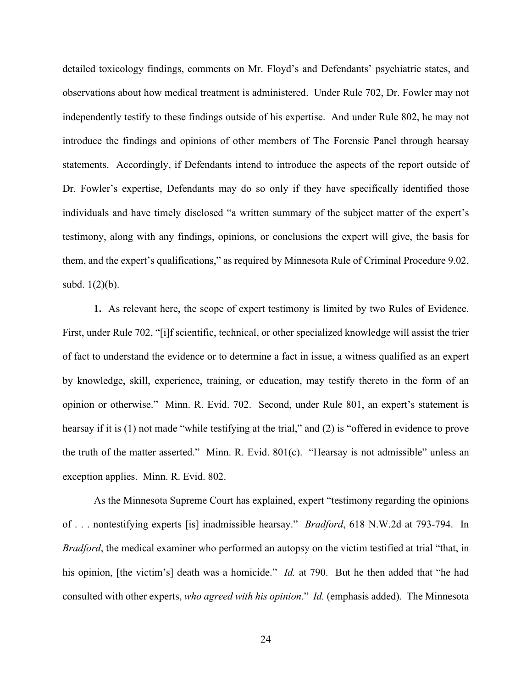detailed toxicology findings, comments on Mr. Floyd's and Defendants' psychiatric states, and observations about how medical treatment is administered. Under Rule 702, Dr. Fowler may not independently testify to these findings outside of his expertise. And under Rule 802, he may not introduce the findings and opinions of other members of The Forensic Panel through hearsay statements. Accordingly, if Defendants intend to introduce the aspects of the report outside of Dr. Fowler's expertise, Defendants may do so only if they have specifically identified those individuals and have timely disclosed "a written summary of the subject matter of the expert's testimony, along with any findings, opinions, or conclusions the expert will give, the basis for them, and the expert's qualifications," as required by Minnesota Rule of Criminal Procedure 9.02, subd. 1(2)(b).

**1.** As relevant here, the scope of expert testimony is limited by two Rules of Evidence. First, under Rule 702, "[i]f scientific, technical, or other specialized knowledge will assist the trier of fact to understand the evidence or to determine a fact in issue, a witness qualified as an expert by knowledge, skill, experience, training, or education, may testify thereto in the form of an opinion or otherwise." Minn. R. Evid. 702. Second, under Rule 801, an expert's statement is hearsay if it is (1) not made "while testifying at the trial," and (2) is "offered in evidence to prove the truth of the matter asserted." Minn. R. Evid. 801(c). "Hearsay is not admissible" unless an exception applies. Minn. R. Evid. 802.

As the Minnesota Supreme Court has explained, expert "testimony regarding the opinions of . . . nontestifying experts [is] inadmissible hearsay." *Bradford*, 618 N.W.2d at 793-794. In *Bradford*, the medical examiner who performed an autopsy on the victim testified at trial "that, in his opinion, [the victim's] death was a homicide." *Id.* at 790. But he then added that "he had consulted with other experts, *who agreed with his opinion*." *Id.* (emphasis added). The Minnesota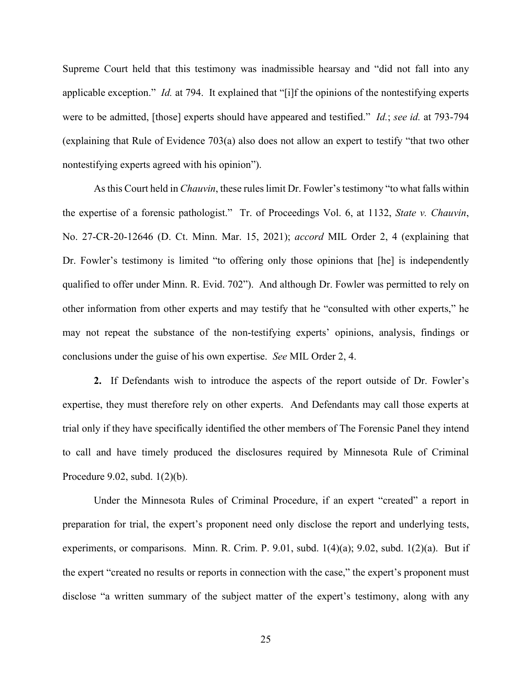Supreme Court held that this testimony was inadmissible hearsay and "did not fall into any applicable exception." *Id.* at 794. It explained that "[i]f the opinions of the nontestifying experts were to be admitted, [those] experts should have appeared and testified." *Id.*; *see id.* at 793-794 (explaining that Rule of Evidence 703(a) also does not allow an expert to testify "that two other nontestifying experts agreed with his opinion").

As this Court held in *Chauvin*, these rules limit Dr. Fowler's testimony "to what falls within the expertise of a forensic pathologist." Tr. of Proceedings Vol. 6, at 1132, *State v. Chauvin*, No. 27-CR-20-12646 (D. Ct. Minn. Mar. 15, 2021); *accord* MIL Order 2, 4 (explaining that Dr. Fowler's testimony is limited "to offering only those opinions that [he] is independently qualified to offer under Minn. R. Evid. 702"). And although Dr. Fowler was permitted to rely on other information from other experts and may testify that he "consulted with other experts," he may not repeat the substance of the non-testifying experts' opinions, analysis, findings or conclusions under the guise of his own expertise. *See* MIL Order 2, 4.

**2.** If Defendants wish to introduce the aspects of the report outside of Dr. Fowler's expertise, they must therefore rely on other experts. And Defendants may call those experts at trial only if they have specifically identified the other members of The Forensic Panel they intend to call and have timely produced the disclosures required by Minnesota Rule of Criminal Procedure 9.02, subd. 1(2)(b).

Under the Minnesota Rules of Criminal Procedure, if an expert "created" a report in preparation for trial, the expert's proponent need only disclose the report and underlying tests, experiments, or comparisons. Minn. R. Crim. P. 9.01, subd. 1(4)(a); 9.02, subd. 1(2)(a). But if the expert "created no results or reports in connection with the case," the expert's proponent must disclose "a written summary of the subject matter of the expert's testimony, along with any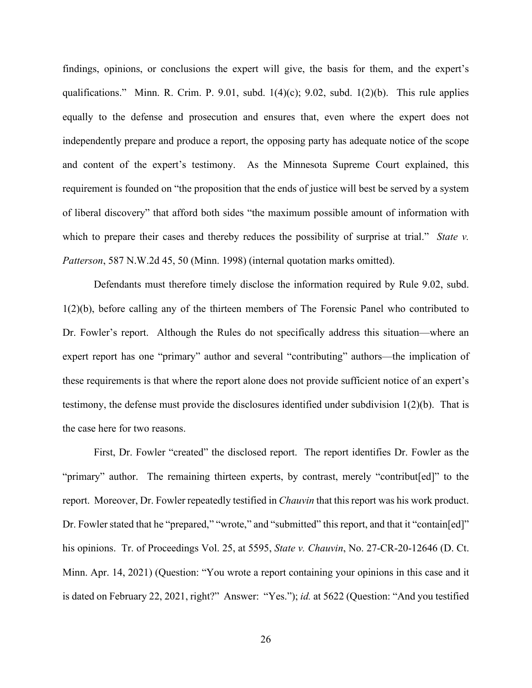findings, opinions, or conclusions the expert will give, the basis for them, and the expert's qualifications." Minn. R. Crim. P. 9.01, subd.  $1(4)(c)$ ; 9.02, subd.  $1(2)(b)$ . This rule applies equally to the defense and prosecution and ensures that, even where the expert does not independently prepare and produce a report, the opposing party has adequate notice of the scope and content of the expert's testimony. As the Minnesota Supreme Court explained, this requirement is founded on "the proposition that the ends of justice will best be served by a system of liberal discovery" that afford both sides "the maximum possible amount of information with which to prepare their cases and thereby reduces the possibility of surprise at trial." *State v. Patterson*, 587 N.W.2d 45, 50 (Minn. 1998) (internal quotation marks omitted).

Defendants must therefore timely disclose the information required by Rule 9.02, subd. 1(2)(b), before calling any of the thirteen members of The Forensic Panel who contributed to Dr. Fowler's report. Although the Rules do not specifically address this situation—where an expert report has one "primary" author and several "contributing" authors—the implication of these requirements is that where the report alone does not provide sufficient notice of an expert's testimony, the defense must provide the disclosures identified under subdivision 1(2)(b). That is the case here for two reasons.

First, Dr. Fowler "created" the disclosed report. The report identifies Dr. Fowler as the "primary" author. The remaining thirteen experts, by contrast, merely "contribut[ed]" to the report. Moreover, Dr. Fowler repeatedly testified in *Chauvin* that this report was his work product. Dr. Fowler stated that he "prepared," "wrote," and "submitted" this report, and that it "contain[ed]" his opinions. Tr. of Proceedings Vol. 25, at 5595, *State v. Chauvin*, No. 27-CR-20-12646 (D. Ct. Minn. Apr. 14, 2021) (Question: "You wrote a report containing your opinions in this case and it is dated on February 22, 2021, right?" Answer: "Yes."); *id.* at 5622 (Question: "And you testified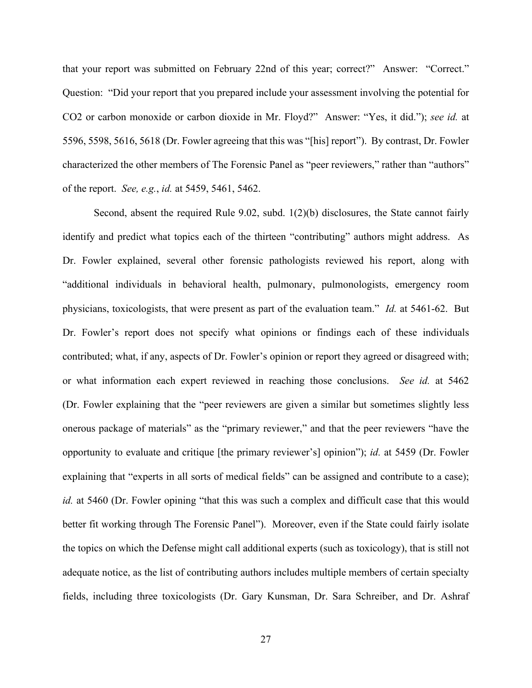that your report was submitted on February 22nd of this year; correct?" Answer: "Correct." Question: "Did your report that you prepared include your assessment involving the potential for CO2 or carbon monoxide or carbon dioxide in Mr. Floyd?" Answer: "Yes, it did."); *see id.* at 5596, 5598, 5616, 5618 (Dr. Fowler agreeing that this was "[his] report"). By contrast, Dr. Fowler characterized the other members of The Forensic Panel as "peer reviewers," rather than "authors" of the report. *See, e.g.*, *id.* at 5459, 5461, 5462.

Second, absent the required Rule 9.02, subd. 1(2)(b) disclosures, the State cannot fairly identify and predict what topics each of the thirteen "contributing" authors might address. As Dr. Fowler explained, several other forensic pathologists reviewed his report, along with "additional individuals in behavioral health, pulmonary, pulmonologists, emergency room physicians, toxicologists, that were present as part of the evaluation team." *Id.* at 5461-62. But Dr. Fowler's report does not specify what opinions or findings each of these individuals contributed; what, if any, aspects of Dr. Fowler's opinion or report they agreed or disagreed with; or what information each expert reviewed in reaching those conclusions. *See id.* at 5462 (Dr. Fowler explaining that the "peer reviewers are given a similar but sometimes slightly less onerous package of materials" as the "primary reviewer," and that the peer reviewers "have the opportunity to evaluate and critique [the primary reviewer's] opinion"); *id.* at 5459 (Dr. Fowler explaining that "experts in all sorts of medical fields" can be assigned and contribute to a case); *id.* at 5460 (Dr. Fowler opining "that this was such a complex and difficult case that this would better fit working through The Forensic Panel"). Moreover, even if the State could fairly isolate the topics on which the Defense might call additional experts (such as toxicology), that is still not adequate notice, as the list of contributing authors includes multiple members of certain specialty fields, including three toxicologists (Dr. Gary Kunsman, Dr. Sara Schreiber, and Dr. Ashraf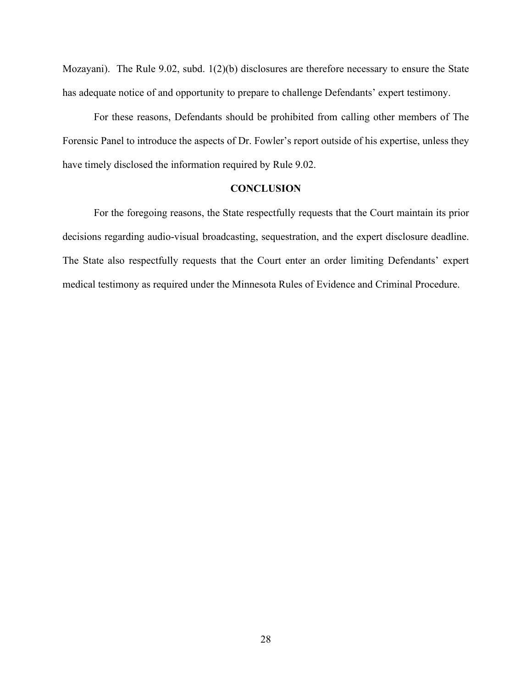Mozayani). The Rule 9.02, subd. 1(2)(b) disclosures are therefore necessary to ensure the State has adequate notice of and opportunity to prepare to challenge Defendants' expert testimony.

For these reasons, Defendants should be prohibited from calling other members of The Forensic Panel to introduce the aspects of Dr. Fowler's report outside of his expertise, unless they have timely disclosed the information required by Rule 9.02.

## **CONCLUSION**

For the foregoing reasons, the State respectfully requests that the Court maintain its prior decisions regarding audio-visual broadcasting, sequestration, and the expert disclosure deadline. The State also respectfully requests that the Court enter an order limiting Defendants' expert medical testimony as required under the Minnesota Rules of Evidence and Criminal Procedure.